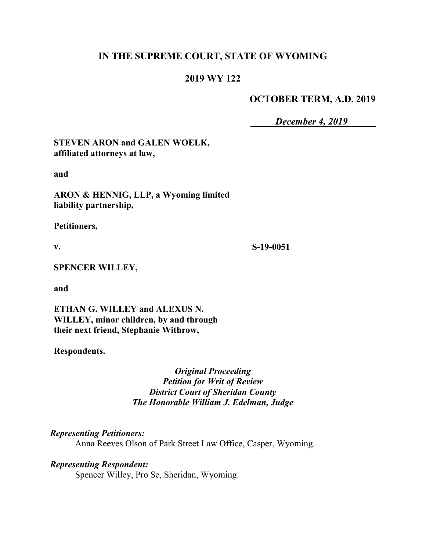## **IN THE SUPREME COURT, STATE OF WYOMING**

## **2019 WY 122**

## **OCTOBER TERM, A.D. 2019**

|                                                                                                                  | December 4, 2019 |
|------------------------------------------------------------------------------------------------------------------|------------------|
| <b>STEVEN ARON and GALEN WOELK,</b><br>affiliated attorneys at law,                                              |                  |
| and                                                                                                              |                  |
| ARON & HENNIG, LLP, a Wyoming limited<br>liability partnership,                                                  |                  |
| Petitioners,                                                                                                     |                  |
| V.                                                                                                               | S-19-0051        |
| <b>SPENCER WILLEY,</b>                                                                                           |                  |
| and                                                                                                              |                  |
| ETHAN G. WILLEY and ALEXUS N.<br>WILLEY, minor children, by and through<br>their next friend, Stephanie Withrow, |                  |

**Respondents.**

*Original Proceeding Petition for Writ of Review District Court of Sheridan County The Honorable William J. Edelman, Judge*

# *Representing Petitioners:*

Anna Reeves Olson of Park Street Law Office, Casper, Wyoming.

## *Representing Respondent:*

Spencer Willey, Pro Se, Sheridan, Wyoming.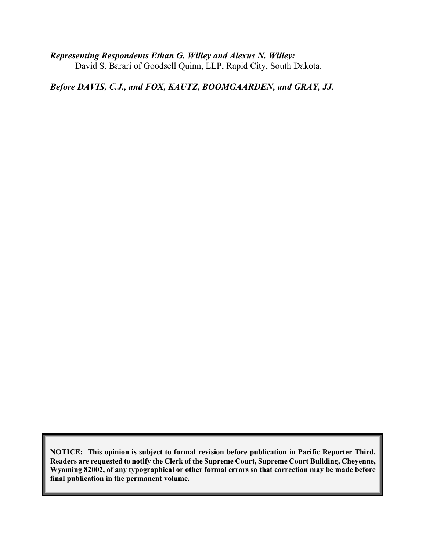*Representing Respondents Ethan G. Willey and Alexus N. Willey:* David S. Barari of Goodsell Quinn, LLP, Rapid City, South Dakota.

*Before DAVIS, C.J., and FOX, KAUTZ, BOOMGAARDEN, and GRAY, JJ.*

**NOTICE: This opinion is subject to formal revision before publication in Pacific Reporter Third. Readers are requested to notify the Clerk of the Supreme Court, Supreme Court Building, Cheyenne, Wyoming 82002, of any typographical or other formal errors so that correction may be made before final publication in the permanent volume.**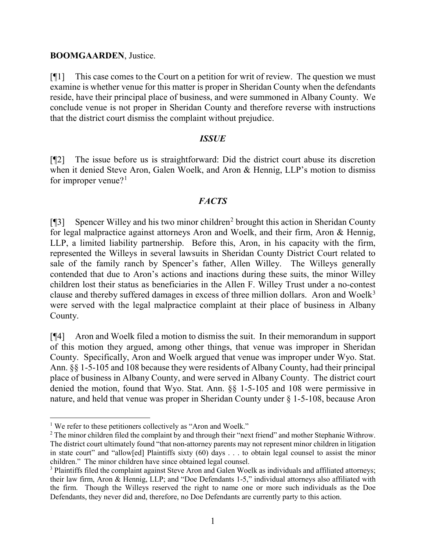#### **BOOMGAARDEN**, Justice.

[¶1] This case comes to the Court on a petition for writ of review. The question we must examine is whether venue for this matter is proper in Sheridan County when the defendants reside, have their principal place of business, and were summoned in Albany County. We conclude venue is not proper in Sheridan County and therefore reverse with instructions that the district court dismiss the complaint without prejudice.

#### *ISSUE*

[¶2] The issue before us is straightforward: Did the district court abuse its discretion when it denied Steve Aron, Galen Woelk, and Aron & Hennig, LLP's motion to dismiss for improper venue? $1$ 

### *FACTS*

[¶3] Spencer Willey and his two minor children[2](#page-2-1) brought this action in Sheridan County for legal malpractice against attorneys Aron and Woelk, and their firm, Aron & Hennig, LLP, a limited liability partnership. Before this, Aron, in his capacity with the firm, represented the Willeys in several lawsuits in Sheridan County District Court related to sale of the family ranch by Spencer's father, Allen Willey. The Willeys generally contended that due to Aron's actions and inactions during these suits, the minor Willey children lost their status as beneficiaries in the Allen F. Willey Trust under a no-contest clause and thereby suffered damages in excess of three million dollars. Aron and Woelk<sup>[3](#page-2-2)</sup> were served with the legal malpractice complaint at their place of business in Albany County.

[¶4] Aron and Woelk filed a motion to dismiss the suit. In their memorandum in support of this motion they argued, among other things, that venue was improper in Sheridan County. Specifically, Aron and Woelk argued that venue was improper under Wyo. Stat. Ann. §§ 1-5-105 and 108 because they were residents of Albany County, had their principal place of business in Albany County, and were served in Albany County. The district court denied the motion, found that Wyo. Stat. Ann. §§ 1-5-105 and 108 were permissive in nature, and held that venue was proper in Sheridan County under § 1-5-108, because Aron

<span id="page-2-0"></span><sup>&</sup>lt;sup>1</sup> We refer to these petitioners collectively as "Aron and Woelk."

<span id="page-2-1"></span><sup>&</sup>lt;sup>2</sup> The minor children filed the complaint by and through their "next friend" and mother Stephanie Withrow. The district court ultimately found "that non-attorney parents may not represent minor children in litigation in state court" and "allow[ed] Plaintiffs sixty (60) days . . . to obtain legal counsel to assist the minor children." The minor children have since obtained legal counsel.

<span id="page-2-2"></span><sup>&</sup>lt;sup>3</sup> Plaintiffs filed the complaint against Steve Aron and Galen Woelk as individuals and affiliated attorneys; their law firm, Aron & Hennig, LLP; and "Doe Defendants 1-5," individual attorneys also affiliated with the firm. Though the Willeys reserved the right to name one or more such individuals as the Doe Defendants, they never did and, therefore, no Doe Defendants are currently party to this action.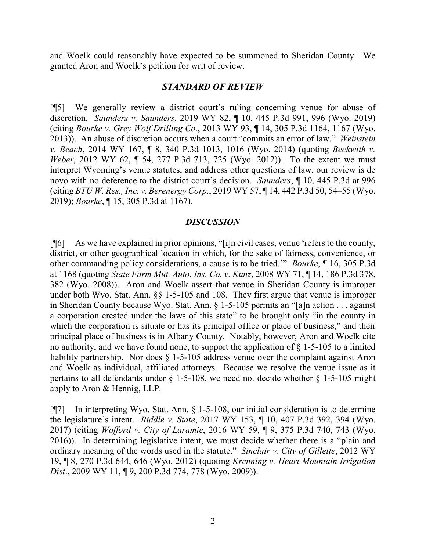and Woelk could reasonably have expected to be summoned to Sheridan County. We granted Aron and Woelk's petition for writ of review.

#### *STANDARD OF REVIEW*

[¶5] We generally review a district court's ruling concerning venue for abuse of discretion. *Saunders v. Saunders*, 2019 WY 82, ¶ 10, 445 P.3d 991, 996 (Wyo. 2019) (citing *Bourke v. Grey Wolf Drilling Co.*, 2013 WY 93, ¶ 14, 305 P.3d 1164, 1167 (Wyo. 2013)). An abuse of discretion occurs when a court "commits an error of law." *Weinstein v. Beach*, 2014 WY 167, ¶ 8, 340 P.3d 1013, 1016 (Wyo. 2014) (quoting *Beckwith v. Weber*, 2012 WY 62, ¶ 54, 277 P.3d 713, 725 (Wyo. 2012)). To the extent we must interpret Wyoming's venue statutes, and address other questions of law, our review is de novo with no deference to the district court's decision. *Saunders*, ¶ 10, 445 P.3d at 996 (citing *BTU W. Res., Inc. v. Berenergy Corp.*, 2019 WY 57, ¶ 14, 442 P.3d 50, 54–55 (Wyo. 2019); *Bourke*, ¶ 15, 305 P.3d at 1167).

#### *DISCUSSION*

[¶6] As we have explained in prior opinions, "[i]n civil cases, venue 'refers to the county, district, or other geographical location in which, for the sake of fairness, convenience, or other commanding policy considerations, a cause is to be tried.'" *Bourke*, ¶ 16, 305 P.3d at 1168 (quoting *State Farm Mut. Auto. Ins. Co. v. Kunz*, 2008 WY 71, ¶ 14, 186 P.3d 378, 382 (Wyo. 2008)). Aron and Woelk assert that venue in Sheridan County is improper under both Wyo. Stat. Ann. §§ 1-5-105 and 108. They first argue that venue is improper in Sheridan County because Wyo. Stat. Ann. § 1-5-105 permits an "[a]n action . . . against a corporation created under the laws of this state" to be brought only "in the county in which the corporation is situate or has its principal office or place of business," and their principal place of business is in Albany County. Notably, however, Aron and Woelk cite no authority, and we have found none, to support the application of  $\S$  1-5-105 to a limited liability partnership. Nor does  $\S$  1-5-105 address venue over the complaint against Aron and Woelk as individual, affiliated attorneys. Because we resolve the venue issue as it pertains to all defendants under § 1-5-108, we need not decide whether § 1-5-105 might apply to Aron & Hennig, LLP.

[¶7] In interpreting Wyo. Stat. Ann. § 1-5-108, our initial consideration is to determine the legislature's intent. *Riddle v. State*, 2017 WY 153, ¶ 10, 407 P.3d 392, 394 (Wyo. 2017) (citing *Wofford v. City of Laramie*, 2016 WY 59, ¶ 9, 375 P.3d 740, 743 (Wyo. 2016)). In determining legislative intent, we must decide whether there is a "plain and ordinary meaning of the words used in the statute." *Sinclair v. City of Gillette*, 2012 WY 19, ¶ 8, 270 P.3d 644, 646 (Wyo. 2012) (quoting *Krenning v. Heart Mountain Irrigation Dist*., 2009 WY 11, ¶ 9, 200 P.3d 774, 778 (Wyo. 2009)).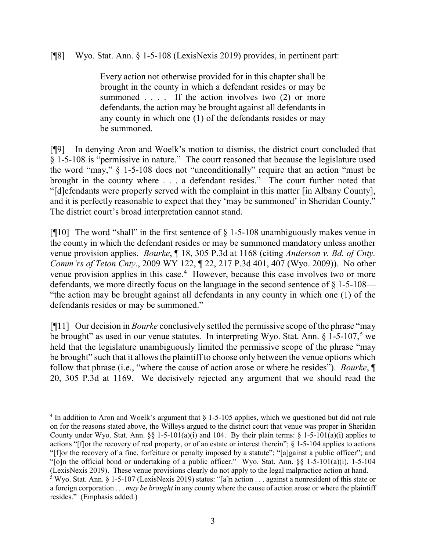[¶8] Wyo. Stat. Ann. § 1-5-108 (LexisNexis 2019) provides, in pertinent part:

Every action not otherwise provided for in this chapter shall be brought in the county in which a defendant resides or may be summoned  $\ldots$  . If the action involves two (2) or more defendants, the action may be brought against all defendants in any county in which one (1) of the defendants resides or may be summoned.

[¶9] In denying Aron and Woelk's motion to dismiss, the district court concluded that § 1-5-108 is "permissive in nature." The court reasoned that because the legislature used the word "may," § 1-5-108 does not "unconditionally" require that an action "must be brought in the county where . . . a defendant resides." The court further noted that "[d]efendants were properly served with the complaint in this matter [in Albany County], and it is perfectly reasonable to expect that they 'may be summoned' in Sheridan County." The district court's broad interpretation cannot stand.

[ $[$ [10] The word "shall" in the first sentence of  $\S$  1-5-108 unambiguously makes venue in the county in which the defendant resides or may be summoned mandatory unless another venue provision applies. *Bourke*, ¶ 18, 305 P.3d at 1168 (citing *Anderson v. Bd. of Cnty. Comm'rs of Teton Cnty*., 2009 WY 122, ¶ 22, 217 P.3d 401, 407 (Wyo. 2009)). No other venue provision applies in this case. [4](#page-4-0) However, because this case involves two or more defendants, we more directly focus on the language in the second sentence of § 1-5-108— "the action may be brought against all defendants in any county in which one (1) of the defendants resides or may be summoned."

[¶11] Our decision in *Bourke* conclusively settled the permissive scope of the phrase "may be brought" as used in our venue statutes. In interpreting Wyo. Stat. Ann. § 1-[5](#page-4-1)-107,<sup>5</sup> we held that the legislature unambiguously limited the permissive scope of the phrase "may be brought" such that it allows the plaintiff to choose only between the venue options which follow that phrase (i.e., "where the cause of action arose or where he resides"). *Bourke*, ¶ 20, 305 P.3d at 1169. We decisively rejected any argument that we should read the

<span id="page-4-0"></span> $4 \text{ In addition to Aron and Woelk's argument that } 1-5-105 \text{ applies, which we questioned but did not rule.}$ on for the reasons stated above, the Willeys argued to the district court that venue was proper in Sheridan County under Wyo. Stat. Ann. §§ 1-5-101(a)(i) and 104. By their plain terms: § 1-5-101(a)(i) applies to actions "[f]or the recovery of real property, or of an estate or interest therein"; § 1-5-104 applies to actions "[f]or the recovery of a fine, forfeiture or penalty imposed by a statute"; "[a]gainst a public officer"; and "[o]n the official bond or undertaking of a public officer." Wyo. Stat. Ann. §§ 1-5-101(a)(i), 1-5-104 (LexisNexis 2019). These venue provisions clearly do not apply to the legal malpractice action at hand.

<span id="page-4-1"></span><sup>5</sup> Wyo. Stat. Ann. § 1-5-107 (LexisNexis 2019) states: "[a]n action . . . against a nonresident of this state or a foreign corporation . . . *may be brought* in any county where the cause of action arose or where the plaintiff resides." (Emphasis added.)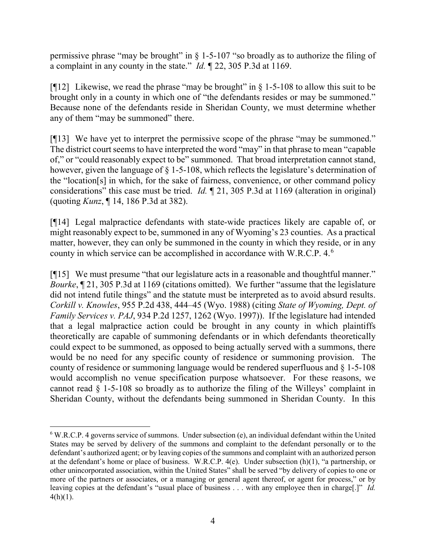permissive phrase "may be brought" in § 1-5-107 "so broadly as to authorize the filing of a complaint in any county in the state." *Id.* ¶ 22, 305 P.3d at 1169.

[ $[12]$ ] Likewise, we read the phrase "may be brought" in § 1-5-108 to allow this suit to be brought only in a county in which one of "the defendants resides or may be summoned." Because none of the defendants reside in Sheridan County, we must determine whether any of them "may be summoned" there.

[¶13] We have yet to interpret the permissive scope of the phrase "may be summoned." The district court seems to have interpreted the word "may" in that phrase to mean "capable of," or "could reasonably expect to be" summoned. That broad interpretation cannot stand, however, given the language of  $\S$  1-5-108, which reflects the legislature's determination of the "location[s] in which, for the sake of fairness, convenience, or other command policy considerations" this case must be tried. *Id.* ¶ 21, 305 P.3d at 1169 (alteration in original) (quoting *Kunz*, ¶ 14, 186 P.3d at 382).

[¶14] Legal malpractice defendants with state-wide practices likely are capable of, or might reasonably expect to be, summoned in any of Wyoming's 23 counties. As a practical matter, however, they can only be summoned in the county in which they reside, or in any county in which service can be accomplished in accordance with W.R.C.P. 4. [6](#page-5-0)

[¶15] We must presume "that our legislature acts in a reasonable and thoughtful manner." *Bourke*, ¶ 21, 305 P.3d at 1169 (citations omitted). We further "assume that the legislature did not intend futile things" and the statute must be interpreted as to avoid absurd results. *Corkill v. Knowles*, 955 P.2d 438, 444–45 (Wyo. 1988) (citing *State of Wyoming, Dept. of Family Services v. PAJ*, 934 P.2d 1257, 1262 (Wyo. 1997)). If the legislature had intended that a legal malpractice action could be brought in any county in which plaintiffs theoretically are capable of summoning defendants or in which defendants theoretically could expect to be summoned, as opposed to being actually served with a summons, there would be no need for any specific county of residence or summoning provision. The county of residence or summoning language would be rendered superfluous and § 1-5-108 would accomplish no venue specification purpose whatsoever. For these reasons, we cannot read  $\S$  1-5-108 so broadly as to authorize the filing of the Willeys' complaint in Sheridan County, without the defendants being summoned in Sheridan County. In this

<span id="page-5-0"></span> <sup>6</sup> W.R.C.P. 4 governs service of summons. Under subsection (e), an individual defendant within the United States may be served by delivery of the summons and complaint to the defendant personally or to the defendant's authorized agent; or by leaving copies of the summons and complaint with an authorized person at the defendant's home or place of business. W.R.C.P. 4(e). Under subsection (h)(1), "a partnership, or other unincorporated association, within the United States" shall be served "by delivery of copies to one or more of the partners or associates, or a managing or general agent thereof, or agent for process," or by leaving copies at the defendant's "usual place of business . . . with any employee then in charge[.]" *Id.*  $4(h)(1)$ .